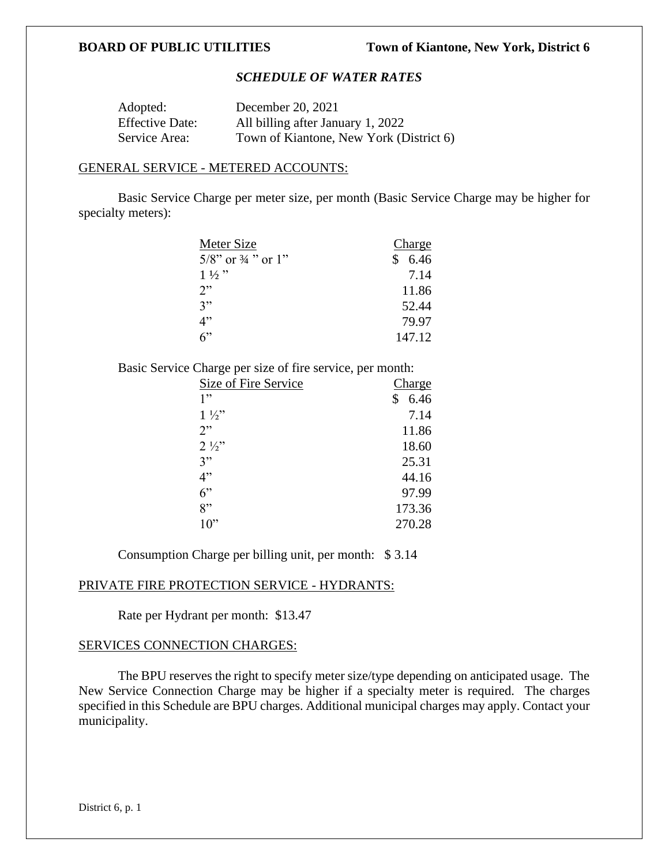## *SCHEDULE OF WATER RATES*

| Adopted:               | December 20, 2021                       |
|------------------------|-----------------------------------------|
| <b>Effective Date:</b> | All billing after January 1, 2022       |
| Service Area:          | Town of Kiantone, New York (District 6) |

### GENERAL SERVICE - METERED ACCOUNTS:

Basic Service Charge per meter size, per month (Basic Service Charge may be higher for specialty meters):

| Meter Size                       | Charge    |
|----------------------------------|-----------|
| $5/8$ " or $\frac{3}{4}$ " or 1" | S<br>6.46 |
| $1\frac{1}{2}$ "                 | 7.14      |
| 2"                               | 11.86     |
| 3"                               | 52.44     |
| 4"                               | 79.97     |
| $6$ "                            | 147.12    |

Basic Service Charge per size of fire service, per month:

| Size of Fire Service | Charge |
|----------------------|--------|
| 1"                   | 6.46   |
| $1\frac{1}{2}$       | 7.14   |
| 2"                   | 11.86  |
| $2\frac{1}{2}$       | 18.60  |
| 3"                   | 25.31  |
| 4"                   | 44.16  |
| 6"                   | 97.99  |
| 8"                   | 173.36 |
| $10$ "               | 270.28 |

Consumption Charge per billing unit, per month: \$ 3.14

### PRIVATE FIRE PROTECTION SERVICE - HYDRANTS:

Rate per Hydrant per month: \$13.47

## SERVICES CONNECTION CHARGES:

The BPU reserves the right to specify meter size/type depending on anticipated usage. The New Service Connection Charge may be higher if a specialty meter is required. The charges specified in this Schedule are BPU charges. Additional municipal charges may apply. Contact your municipality.